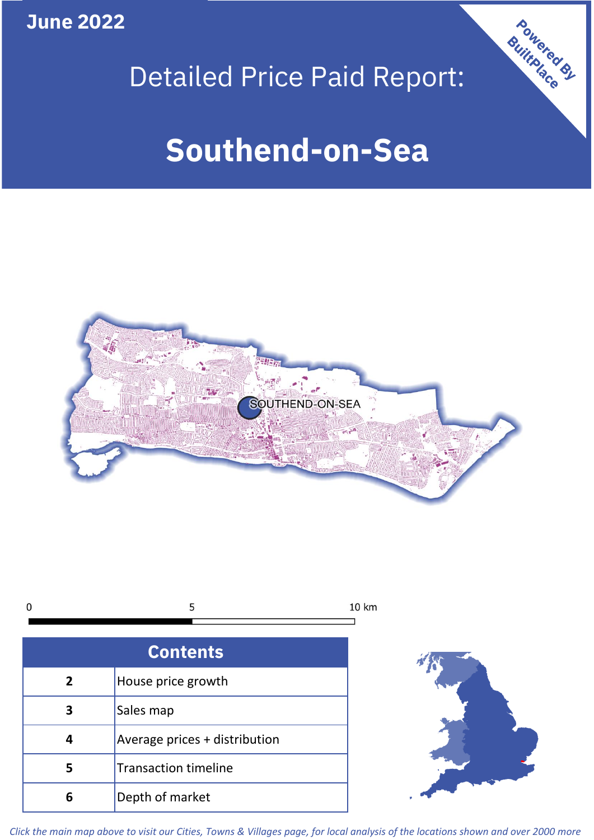**June 2022**



# Detailed Price Paid Report:

# **Southend-on-Sea**



| r<br>u |  |
|--------|--|
|        |  |

| <b>Contents</b> |                               |  |  |  |
|-----------------|-------------------------------|--|--|--|
| $\overline{2}$  | House price growth            |  |  |  |
| 3               | Sales map                     |  |  |  |
| 4               | Average prices + distribution |  |  |  |
| 5               | <b>Transaction timeline</b>   |  |  |  |
|                 | Depth of market               |  |  |  |



*Click the main map above to visit our Cities, Towns & Villages page, for local analysis of the locations shown and over 2000 more*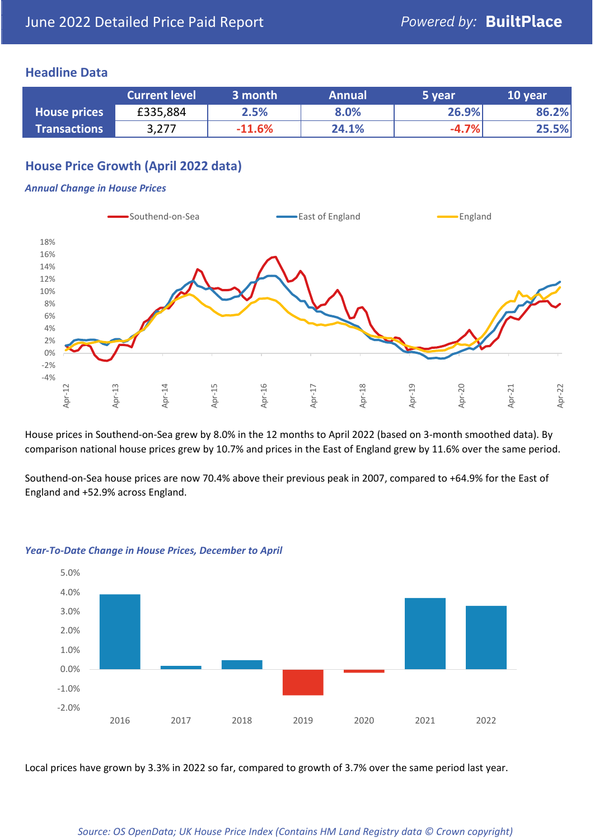## **Headline Data**

|                     | <b>Current level</b> | 3 month  | <b>Annual</b> | 5 year  | 10 year |
|---------------------|----------------------|----------|---------------|---------|---------|
| <b>House prices</b> | £335,884             | 2.5%     | 8.0%          | 26.9%   | 86.2%   |
| <b>Transactions</b> | 3,277                | $-11.6%$ | 24.1%         | $-4.7%$ | 25.5%   |

# **House Price Growth (April 2022 data)**

#### *Annual Change in House Prices*



House prices in Southend-on-Sea grew by 8.0% in the 12 months to April 2022 (based on 3-month smoothed data). By comparison national house prices grew by 10.7% and prices in the East of England grew by 11.6% over the same period.

Southend-on-Sea house prices are now 70.4% above their previous peak in 2007, compared to +64.9% for the East of England and +52.9% across England.



#### *Year-To-Date Change in House Prices, December to April*

Local prices have grown by 3.3% in 2022 so far, compared to growth of 3.7% over the same period last year.

#### *Source: OS OpenData; UK House Price Index (Contains HM Land Registry data © Crown copyright)*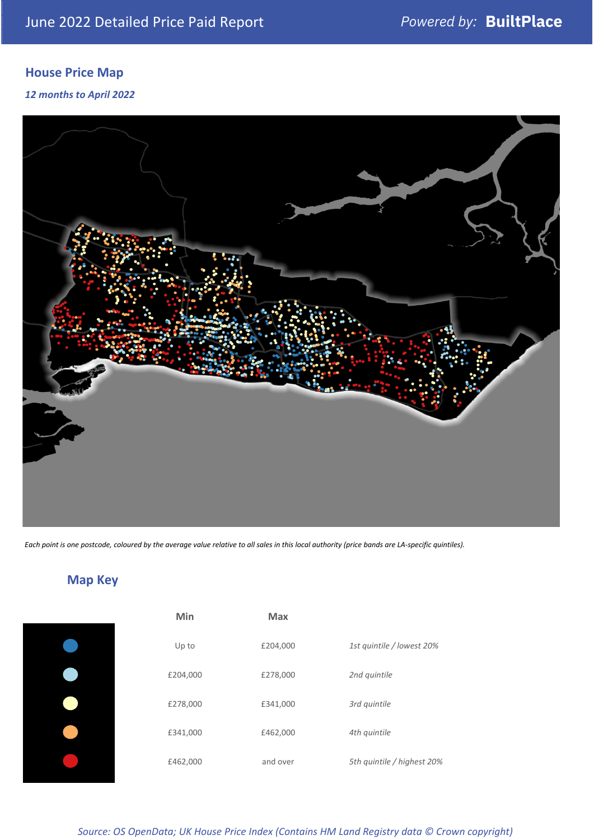# **House Price Map**

*12 months to April 2022*



*Each point is one postcode, coloured by the average value relative to all sales in this local authority (price bands are LA-specific quintiles).*

**Map Key**

| Min      | <b>Max</b> |                            |
|----------|------------|----------------------------|
| Up to    | £204,000   | 1st quintile / lowest 20%  |
| £204,000 | £278,000   | 2nd quintile               |
| £278,000 | £341,000   | 3rd quintile               |
| £341,000 | £462,000   | 4th quintile               |
| £462,000 | and over   | 5th quintile / highest 20% |

#### *Source: OS OpenData; UK House Price Index (Contains HM Land Registry data © Crown copyright)*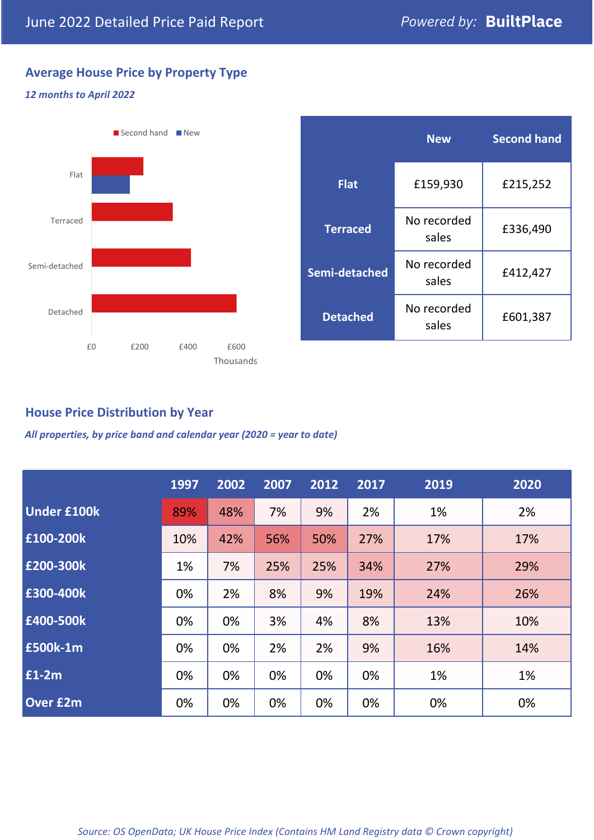# **Average House Price by Property Type**

### *12 months to April 2022*



# **House Price Distribution by Year**

*All properties, by price band and calendar year (2020 = year to date)*

|                    | 1997 | 2002 | 2007 | 2012 | 2017 | 2019 | 2020 |
|--------------------|------|------|------|------|------|------|------|
| <b>Under £100k</b> | 89%  | 48%  | 7%   | 9%   | 2%   | 1%   | 2%   |
| £100-200k          | 10%  | 42%  | 56%  | 50%  | 27%  | 17%  | 17%  |
| £200-300k          | 1%   | 7%   | 25%  | 25%  | 34%  | 27%  | 29%  |
| E300-400k          | 0%   | 2%   | 8%   | 9%   | 19%  | 24%  | 26%  |
| £400-500k          | 0%   | 0%   | 3%   | 4%   | 8%   | 13%  | 10%  |
| <b>£500k-1m</b>    | 0%   | 0%   | 2%   | 2%   | 9%   | 16%  | 14%  |
| £1-2m              | 0%   | 0%   | 0%   | 0%   | 0%   | 1%   | 1%   |
| <b>Over £2m</b>    | 0%   | 0%   | 0%   | 0%   | 0%   | 0%   | 0%   |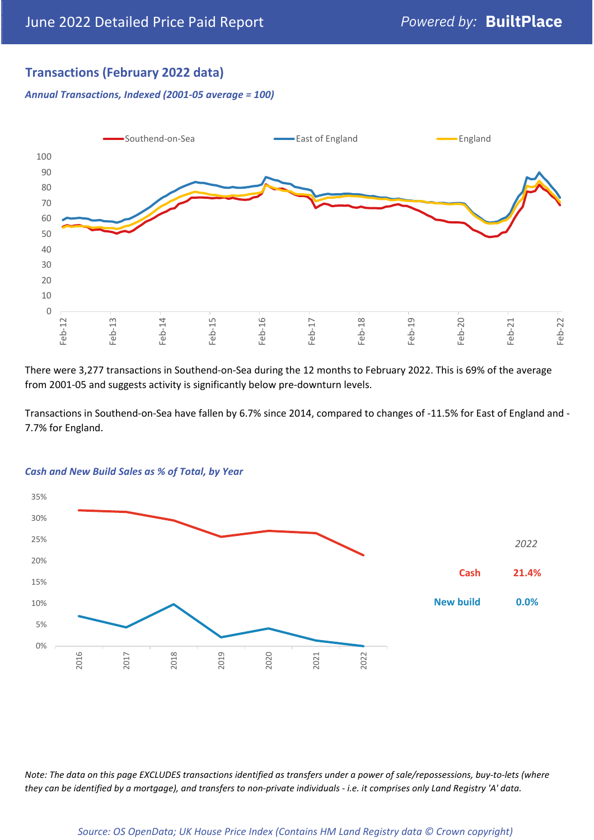# **Transactions (February 2022 data)**

*Annual Transactions, Indexed (2001-05 average = 100)*



There were 3,277 transactions in Southend-on-Sea during the 12 months to February 2022. This is 69% of the average from 2001-05 and suggests activity is significantly below pre-downturn levels.

Transactions in Southend-on-Sea have fallen by 6.7% since 2014, compared to changes of -11.5% for East of England and - 7.7% for England.



#### *Cash and New Build Sales as % of Total, by Year*

*Note: The data on this page EXCLUDES transactions identified as transfers under a power of sale/repossessions, buy-to-lets (where they can be identified by a mortgage), and transfers to non-private individuals - i.e. it comprises only Land Registry 'A' data.*